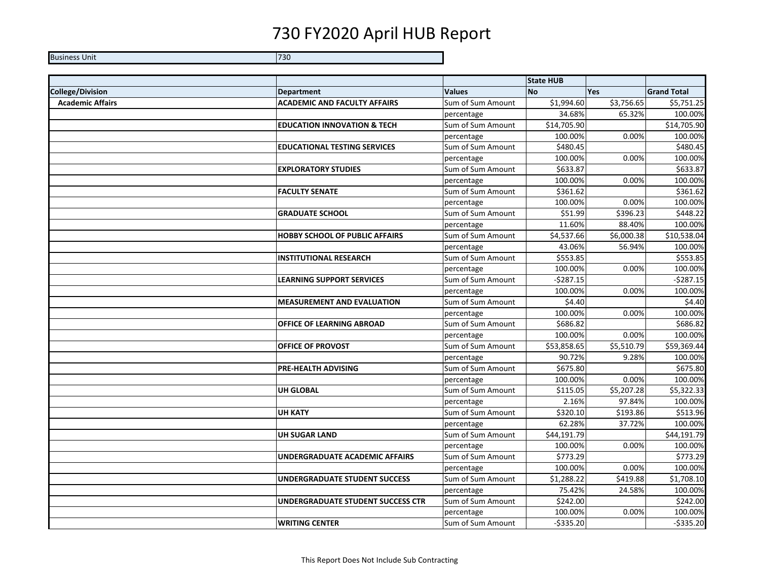## 730 FY2020 April HUB Report

Business Unit 730730

|                         |                                        |                   | <b>State HUB</b> |            |                    |
|-------------------------|----------------------------------------|-------------------|------------------|------------|--------------------|
| <b>College/Division</b> | <b>Department</b>                      | <b>Values</b>     | <b>No</b>        | <b>Yes</b> | <b>Grand Total</b> |
| <b>Academic Affairs</b> | <b>ACADEMIC AND FACULTY AFFAIRS</b>    | Sum of Sum Amount | \$1,994.60       | \$3,756.65 | \$5,751.25         |
|                         |                                        | percentage        | 34.68%           | 65.32%     | 100.00%            |
|                         | <b>EDUCATION INNOVATION &amp; TECH</b> | Sum of Sum Amount | \$14,705.90      |            | \$14,705.90        |
|                         |                                        | percentage        | 100.00%          | 0.00%      | 100.00%            |
|                         | <b>EDUCATIONAL TESTING SERVICES</b>    | Sum of Sum Amount | \$480.45         |            | \$480.45           |
|                         |                                        | percentage        | 100.00%          | 0.00%      | 100.00%            |
|                         | <b>EXPLORATORY STUDIES</b>             | Sum of Sum Amount | \$633.87         |            | \$633.87           |
|                         |                                        | percentage        | 100.00%          | 0.00%      | 100.00%            |
|                         | <b>FACULTY SENATE</b>                  | Sum of Sum Amount | \$361.62         |            | \$361.62           |
|                         |                                        | percentage        | 100.00%          | 0.00%      | 100.00%            |
|                         | <b>GRADUATE SCHOOL</b>                 | Sum of Sum Amount | \$51.99          | \$396.23   | \$448.22           |
|                         |                                        | percentage        | 11.60%           | 88.40%     | 100.00%            |
|                         | <b>HOBBY SCHOOL OF PUBLIC AFFAIRS</b>  | Sum of Sum Amount | \$4,537.66       | \$6,000.38 | \$10,538.04        |
|                         |                                        | percentage        | 43.06%           | 56.94%     | 100.00%            |
|                         | <b>INSTITUTIONAL RESEARCH</b>          | Sum of Sum Amount | \$553.85         |            | \$553.85           |
|                         |                                        | percentage        | 100.00%          | 0.00%      | 100.00%            |
|                         | <b>LEARNING SUPPORT SERVICES</b>       | Sum of Sum Amount | $-5287.15$       |            | $-5287.15$         |
|                         |                                        | percentage        | 100.00%          | 0.00%      | 100.00%            |
|                         | <b>MEASUREMENT AND EVALUATION</b>      | Sum of Sum Amount | \$4.40           |            | \$4.40             |
|                         |                                        | percentage        | 100.00%          | 0.00%      | 100.00%            |
|                         | OFFICE OF LEARNING ABROAD              | Sum of Sum Amount | \$686.82         |            | \$686.82           |
|                         |                                        | percentage        | 100.00%          | 0.00%      | 100.00%            |
|                         | OFFICE OF PROVOST                      | Sum of Sum Amount | \$53,858.65      | \$5,510.79 | \$59,369.44        |
|                         |                                        | percentage        | 90.72%           | 9.28%      | 100.00%            |
|                         | <b>PRE-HEALTH ADVISING</b>             | Sum of Sum Amount | \$675.80         |            | \$675.80           |
|                         |                                        | percentage        | 100.00%          | 0.00%      | 100.00%            |
|                         | <b>UH GLOBAL</b>                       | Sum of Sum Amount | \$115.05         | \$5,207.28 | \$5,322.33         |
|                         |                                        | percentage        | 2.16%            | 97.84%     | 100.00%            |
|                         | <b>UH KATY</b>                         | Sum of Sum Amount | \$320.10         | \$193.86   | \$513.96           |
|                         |                                        | percentage        | 62.28%           | 37.72%     | 100.00%            |
|                         | <b>UH SUGAR LAND</b>                   | Sum of Sum Amount | \$44,191.79      |            | \$44,191.79        |
|                         |                                        | percentage        | 100.00%          | 0.00%      | 100.00%            |
|                         | UNDERGRADUATE ACADEMIC AFFAIRS         | Sum of Sum Amount | \$773.29         |            | \$773.29           |
|                         |                                        | percentage        | 100.00%          | 0.00%      | 100.00%            |
|                         | UNDERGRADUATE STUDENT SUCCESS          | Sum of Sum Amount | \$1,288.22       | \$419.88   | \$1,708.10         |
|                         |                                        | percentage        | 75.42%           | 24.58%     | 100.00%            |
|                         | UNDERGRADUATE STUDENT SUCCESS CTR      | Sum of Sum Amount | \$242.00         |            | \$242.00           |
|                         |                                        | percentage        | 100.00%          | 0.00%      | 100.00%            |
|                         | <b>WRITING CENTER</b>                  | Sum of Sum Amount | $-$ \$335.20     |            | $-5335.20$         |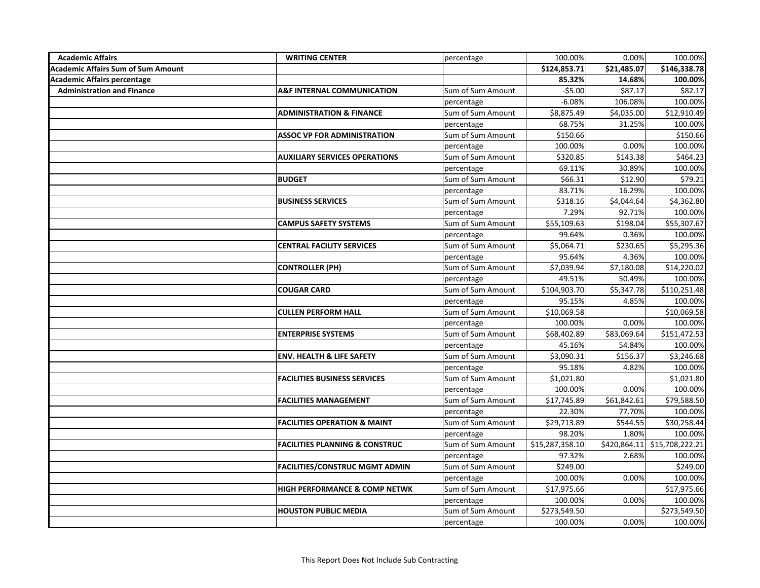| <b>Academic Affairs</b>                   | <b>WRITING CENTER</b>                     | percentage        | 100.00%         | 0.00%       | 100.00%                      |
|-------------------------------------------|-------------------------------------------|-------------------|-----------------|-------------|------------------------------|
| <b>Academic Affairs Sum of Sum Amount</b> |                                           |                   | \$124,853.71    | \$21,485.07 | \$146,338.78                 |
| <b>Academic Affairs percentage</b>        |                                           |                   | 85.32%          | 14.68%      | 100.00%                      |
| <b>Administration and Finance</b>         | <b>A&amp;F INTERNAL COMMUNICATION</b>     | Sum of Sum Amount | $-55.00$        | \$87.17     | \$82.17                      |
|                                           |                                           | percentage        | $-6.08%$        | 106.08%     | 100.00%                      |
|                                           | <b>ADMINISTRATION &amp; FINANCE</b>       | Sum of Sum Amount | \$8,875.49      | \$4,035.00  | \$12,910.49                  |
|                                           |                                           | percentage        | 68.75%          | 31.25%      | 100.00%                      |
|                                           | <b>ASSOC VP FOR ADMINISTRATION</b>        | Sum of Sum Amount | \$150.66        |             | \$150.66                     |
|                                           |                                           | percentage        | 100.00%         | 0.00%       | 100.00%                      |
|                                           | <b>AUXILIARY SERVICES OPERATIONS</b>      | Sum of Sum Amount | \$320.85        | \$143.38    | \$464.23                     |
|                                           |                                           | percentage        | 69.11%          | 30.89%      | 100.00%                      |
|                                           | <b>BUDGET</b>                             | Sum of Sum Amount | \$66.31         | \$12.90     | \$79.21                      |
|                                           |                                           | percentage        | 83.71%          | 16.29%      | 100.00%                      |
|                                           | <b>BUSINESS SERVICES</b>                  | Sum of Sum Amount | \$318.16        | \$4,044.64  | \$4,362.80                   |
|                                           |                                           | percentage        | 7.29%           | 92.71%      | 100.00%                      |
|                                           | <b>CAMPUS SAFETY SYSTEMS</b>              | Sum of Sum Amount | \$55,109.63     | \$198.04    | \$55,307.67                  |
|                                           |                                           | percentage        | 99.64%          | 0.36%       | 100.00%                      |
|                                           | <b>CENTRAL FACILITY SERVICES</b>          | Sum of Sum Amount | \$5,064.71      | \$230.65    | \$5,295.36                   |
|                                           |                                           | percentage        | 95.64%          | 4.36%       | 100.00%                      |
|                                           | <b>CONTROLLER (PH)</b>                    | Sum of Sum Amount | \$7,039.94      | \$7,180.08  | \$14,220.02                  |
|                                           |                                           | percentage        | 49.51%          | 50.49%      | 100.00%                      |
|                                           | <b>COUGAR CARD</b>                        | Sum of Sum Amount | \$104,903.70    | 55,347.78   | \$110,251.48                 |
|                                           |                                           | percentage        | 95.15%          | 4.85%       | 100.00%                      |
|                                           | <b>CULLEN PERFORM HALL</b>                | Sum of Sum Amount | \$10,069.58     |             | \$10,069.58                  |
|                                           |                                           | percentage        | 100.00%         | 0.00%       | 100.00%                      |
|                                           | <b>ENTERPRISE SYSTEMS</b>                 | Sum of Sum Amount | \$68,402.89     | \$83,069.64 | \$151,472.53                 |
|                                           |                                           | percentage        | 45.16%          | 54.84%      | 100.00%                      |
|                                           | <b>ENV. HEALTH &amp; LIFE SAFETY</b>      | Sum of Sum Amount | \$3,090.31      | \$156.37    | \$3,246.68                   |
|                                           |                                           | percentage        | 95.18%          | 4.82%       | 100.00%                      |
|                                           | <b>FACILITIES BUSINESS SERVICES</b>       | Sum of Sum Amount | \$1,021.80      |             | \$1,021.80                   |
|                                           |                                           | percentage        | 100.00%         | 0.00%       | 100.00%                      |
|                                           | <b>FACILITIES MANAGEMENT</b>              | Sum of Sum Amount | \$17,745.89     | \$61,842.61 | \$79,588.50                  |
|                                           |                                           | percentage        | 22.30%          | 77.70%      | 100.00%                      |
|                                           | <b>FACILITIES OPERATION &amp; MAINT</b>   | Sum of Sum Amount | \$29,713.89     | \$544.55    | \$30,258.44                  |
|                                           |                                           | percentage        | 98.20%          | 1.80%       | 100.00%                      |
|                                           | <b>FACILITIES PLANNING &amp; CONSTRUC</b> | Sum of Sum Amount | \$15,287,358.10 |             | \$420,864.11 \$15,708,222.21 |
|                                           |                                           | percentage        | 97.32%          | 2.68%       | 100.00%                      |
|                                           | <b>FACILITIES/CONSTRUC MGMT ADMIN</b>     | Sum of Sum Amount | \$249.00        |             | \$249.00                     |
|                                           |                                           | percentage        | 100.00%         | 0.00%       | 100.00%                      |
|                                           | <b>HIGH PERFORMANCE &amp; COMP NETWK</b>  | Sum of Sum Amount | \$17,975.66     |             | \$17,975.66                  |
|                                           |                                           | percentage        | 100.00%         | 0.00%       | 100.00%                      |
|                                           | <b>HOUSTON PUBLIC MEDIA</b>               | Sum of Sum Amount | \$273,549.50    |             | \$273,549.50                 |
|                                           |                                           | percentage        | 100.00%         | 0.00%       | 100.00%                      |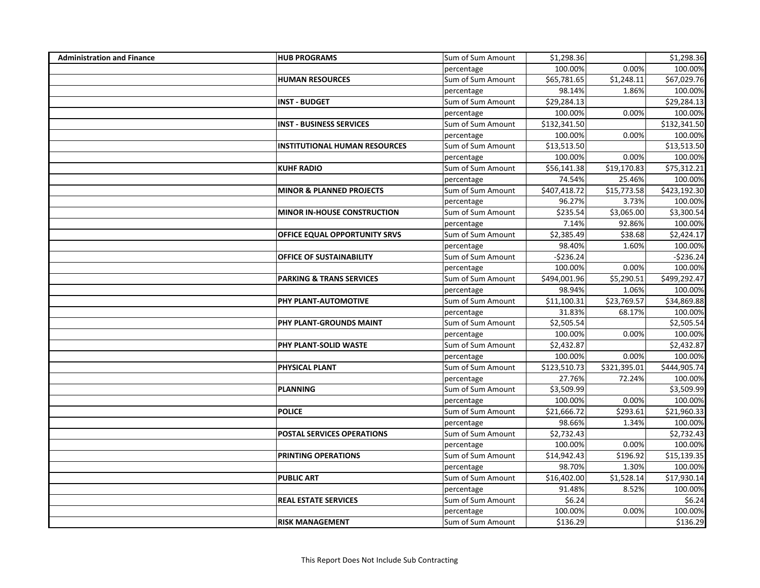| <b>Administration and Finance</b> | <b>HUB PROGRAMS</b>                  | Sum of Sum Amount | \$1,298.36   |             | \$1,298.36   |
|-----------------------------------|--------------------------------------|-------------------|--------------|-------------|--------------|
|                                   |                                      | percentage        | 100.00%      | 0.00%       | 100.00%      |
|                                   | <b>HUMAN RESOURCES</b>               | Sum of Sum Amount | \$65,781.65  | \$1,248.11  | \$67,029.76  |
|                                   |                                      | percentage        | 98.14%       | 1.86%       | 100.00%      |
|                                   | <b>INST - BUDGET</b>                 | Sum of Sum Amount | \$29,284.13  |             | \$29,284.13  |
|                                   |                                      | percentage        | 100.00%      | 0.00%       | 100.00%      |
|                                   | <b>INST - BUSINESS SERVICES</b>      | Sum of Sum Amount | \$132,341.50 |             | \$132,341.50 |
|                                   |                                      | percentage        | 100.00%      | 0.00%       | 100.00%      |
|                                   | <b>INSTITUTIONAL HUMAN RESOURCES</b> | Sum of Sum Amount | \$13,513.50  |             | \$13,513.50  |
|                                   |                                      | percentage        | 100.00%      | 0.00%       | 100.00%      |
|                                   | <b>KUHF RADIO</b>                    | Sum of Sum Amount | \$56,141.38  | \$19,170.83 | \$75,312.21  |
|                                   |                                      | percentage        | 74.54%       | 25.46%      | 100.00%      |
|                                   | <b>MINOR &amp; PLANNED PROJECTS</b>  | Sum of Sum Amount | \$407,418.72 | \$15,773.58 | \$423,192.30 |
|                                   |                                      | percentage        | 96.27%       | 3.73%       | 100.00%      |
|                                   | <b>MINOR IN-HOUSE CONSTRUCTION</b>   | Sum of Sum Amount | \$235.54     | \$3,065.00  | \$3,300.54   |
|                                   |                                      | percentage        | 7.14%        | 92.86%      | 100.00%      |
|                                   | OFFICE EQUAL OPPORTUNITY SRVS        | Sum of Sum Amount | \$2,385.49   | \$38.68     | \$2,424.17   |
|                                   |                                      | percentage        | 98.40%       | 1.60%       | 100.00%      |
|                                   | <b>OFFICE OF SUSTAINABILITY</b>      | Sum of Sum Amount | $-$236.24$   |             | $-5236.24$   |
|                                   |                                      | percentage        | 100.00%      | 0.00%       | 100.00%      |
|                                   | <b>PARKING &amp; TRANS SERVICES</b>  | Sum of Sum Amount | \$494,001.96 | \$5,290.51  | \$499,292.47 |
|                                   |                                      | percentage        | 98.94%       | 1.06%       | 100.00%      |
|                                   | PHY PLANT-AUTOMOTIVE                 | Sum of Sum Amount | \$11,100.31  | \$23,769.57 | \$34,869.88  |
|                                   |                                      | percentage        | 31.83%       | 68.17%      | 100.00%      |
|                                   | PHY PLANT-GROUNDS MAINT              | Sum of Sum Amount | \$2,505.54   |             | \$2,505.54   |
|                                   |                                      | percentage        | 100.00%      | 0.00%       | 100.00%      |
|                                   | PHY PLANT-SOLID WASTE                | Sum of Sum Amount | \$2,432.87   |             | \$2,432.87   |
|                                   |                                      | percentage        | 100.00%      | 0.00%       | 100.00%      |
|                                   | PHYSICAL PLANT                       | Sum of Sum Amount | \$123,510.73 | 5321,395.01 | \$444,905.74 |
|                                   |                                      | percentage        | 27.76%       | 72.24%      | 100.00%      |
|                                   | <b>PLANNING</b>                      | Sum of Sum Amount | \$3,509.99   |             | \$3,509.99   |
|                                   |                                      | percentage        | 100.00%      | 0.00%       | 100.00%      |
|                                   | <b>POLICE</b>                        | Sum of Sum Amount | \$21,666.72  | \$293.61    | \$21,960.33  |
|                                   |                                      | percentage        | 98.66%       | 1.34%       | 100.00%      |
|                                   | <b>POSTAL SERVICES OPERATIONS</b>    | Sum of Sum Amount | \$2,732.43   |             | \$2,732.43   |
|                                   |                                      | percentage        | 100.00%      | 0.00%       | 100.00%      |
|                                   | PRINTING OPERATIONS                  | Sum of Sum Amount | \$14,942.43  | \$196.92    | \$15,139.35  |
|                                   |                                      | percentage        | 98.70%       | 1.30%       | 100.00%      |
|                                   | <b>PUBLIC ART</b>                    | Sum of Sum Amount | \$16,402.00  | \$1,528.14  | \$17,930.14  |
|                                   |                                      | percentage        | 91.48%       | 8.52%       | 100.00%      |
|                                   | <b>REAL ESTATE SERVICES</b>          | Sum of Sum Amount | \$6.24       |             | \$6.24       |
|                                   |                                      | percentage        | 100.00%      | 0.00%       | 100.00%      |
|                                   | <b>RISK MANAGEMENT</b>               | Sum of Sum Amount | \$136.29     |             | \$136.29     |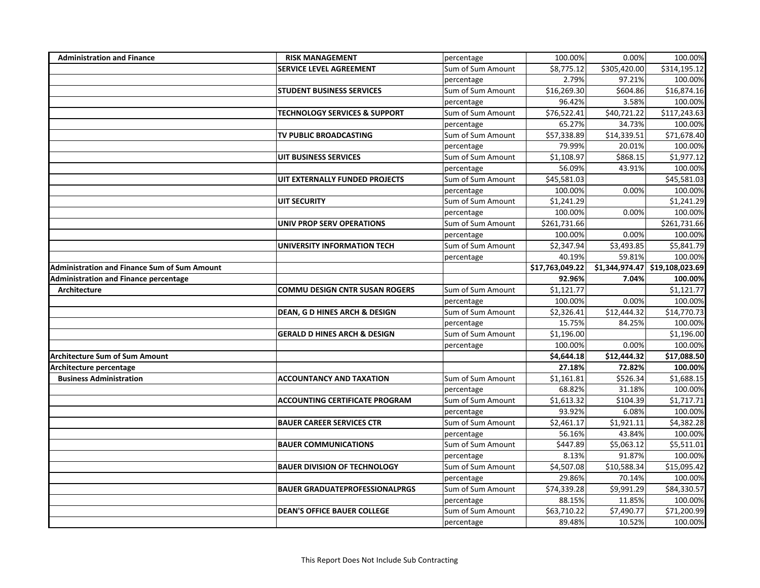| <b>Administration and Finance</b>                   | <b>RISK MANAGEMENT</b>                   | percentage        | 100.00%         | 0.00%                   | 100.00%                        |
|-----------------------------------------------------|------------------------------------------|-------------------|-----------------|-------------------------|--------------------------------|
|                                                     | <b>SERVICE LEVEL AGREEMENT</b>           | Sum of Sum Amount | \$8,775.12      | \$305,420.00            | \$314,195.12                   |
|                                                     |                                          | percentage        | 2.79%           | 97.21%                  | 100.00%                        |
|                                                     | <b>STUDENT BUSINESS SERVICES</b>         | Sum of Sum Amount | \$16,269.30     | \$604.86                | \$16,874.16                    |
|                                                     |                                          | percentage        | 96.42%          | 3.58%                   | 100.00%                        |
|                                                     | <b>TECHNOLOGY SERVICES &amp; SUPPORT</b> | Sum of Sum Amount | \$76,522.41     | \$40,721.22             | \$117,243.63                   |
|                                                     |                                          | percentage        | 65.27%          | 34.73%                  | 100.00%                        |
|                                                     | TV PUBLIC BROADCASTING                   | Sum of Sum Amount | 557,338.89      | $\overline{$}14,339.51$ | \$71,678.40                    |
|                                                     |                                          | percentage        | 79.99%          | 20.01%                  | 100.00%                        |
|                                                     | UIT BUSINESS SERVICES                    | Sum of Sum Amount | \$1,108.97      | \$868.15                | \$1,977.12                     |
|                                                     |                                          | percentage        | 56.09%          | 43.91%                  | 100.00%                        |
|                                                     | UIT EXTERNALLY FUNDED PROJECTS           | Sum of Sum Amount | \$45,581.03     |                         | \$45,581.03                    |
|                                                     |                                          | percentage        | 100.00%         | 0.00%                   | 100.00%                        |
|                                                     | <b>UIT SECURITY</b>                      | Sum of Sum Amount | \$1,241.29      |                         | \$1,241.29                     |
|                                                     |                                          | percentage        | 100.00%         | 0.00%                   | 100.00%                        |
|                                                     | UNIV PROP SERV OPERATIONS                | Sum of Sum Amount | \$261,731.66    |                         | \$261,731.66                   |
|                                                     |                                          | percentage        | 100.00%         | 0.00%                   | 100.00%                        |
|                                                     | UNIVERSITY INFORMATION TECH              | Sum of Sum Amount | \$2,347.94      | \$3,493.85              | \$5,841.79                     |
|                                                     |                                          | percentage        | 40.19%          | 59.81%                  | 100.00%                        |
| <b>Administration and Finance Sum of Sum Amount</b> |                                          |                   | \$17,763,049.22 |                         | \$1,344,974.47 \$19,108,023.69 |
| <b>Administration and Finance percentage</b>        |                                          |                   | 92.96%          | 7.04%                   | 100.00%                        |
| Architecture                                        | <b>COMMU DESIGN CNTR SUSAN ROGERS</b>    | Sum of Sum Amount | \$1,121.77      |                         | \$1,121.77                     |
|                                                     |                                          | percentage        | 100.00%         | 0.00%                   | 100.00%                        |
|                                                     | DEAN, G D HINES ARCH & DESIGN            | Sum of Sum Amount | \$2,326.41      | \$12,444.32             | \$14,770.73                    |
|                                                     |                                          | percentage        | 15.75%          | 84.25%                  | 100.00%                        |
|                                                     | <b>GERALD D HINES ARCH &amp; DESIGN</b>  | Sum of Sum Amount | \$1,196.00      |                         | \$1,196.00                     |
|                                                     |                                          | percentage        | 100.00%         | 0.00%                   | 100.00%                        |
| <b>Architecture Sum of Sum Amount</b>               |                                          |                   | \$4,644.18      | \$12,444.32             | \$17,088.50                    |
| Architecture percentage                             |                                          |                   | 27.18%          | 72.82%                  | 100.00%                        |
| <b>Business Administration</b>                      | <b>ACCOUNTANCY AND TAXATION</b>          | Sum of Sum Amount | \$1,161.81      | \$526.34                | \$1,688.15                     |
|                                                     |                                          | percentage        | 68.82%          | 31.18%                  | 100.00%                        |
|                                                     | <b>ACCOUNTING CERTIFICATE PROGRAM</b>    | Sum of Sum Amount | \$1,613.32      | \$104.39                | \$1,717.71                     |
|                                                     |                                          | percentage        | 93.92%          | 6.08%                   | 100.00%                        |
|                                                     | <b>BAUER CAREER SERVICES CTR</b>         | Sum of Sum Amount | \$2,461.17      | \$1,921.11              | \$4,382.28                     |
|                                                     |                                          | percentage        | 56.16%          | 43.84%                  | 100.00%                        |
|                                                     | <b>BAUER COMMUNICATIONS</b>              | Sum of Sum Amount | \$447.89        | \$5,063.12              | \$5,511.01                     |
|                                                     |                                          | percentage        | 8.13%           | 91.87%                  | 100.00%                        |
|                                                     | <b>BAUER DIVISION OF TECHNOLOGY</b>      | Sum of Sum Amount | \$4,507.08      | \$10,588.34             | \$15,095.42                    |
|                                                     |                                          | percentage        | 29.86%          | 70.14%                  | 100.00%                        |
|                                                     | <b>BAUER GRADUATEPROFESSIONALPRGS</b>    | Sum of Sum Amount | \$74,339.28     | \$9,991.29              | \$84,330.57                    |
|                                                     |                                          | percentage        | 88.15%          | 11.85%                  | 100.00%                        |
|                                                     | <b>DEAN'S OFFICE BAUER COLLEGE</b>       | Sum of Sum Amount | \$63,710.22     | \$7,490.77              | \$71,200.99                    |
|                                                     |                                          | percentage        | 89.48%          | 10.52%                  | 100.00%                        |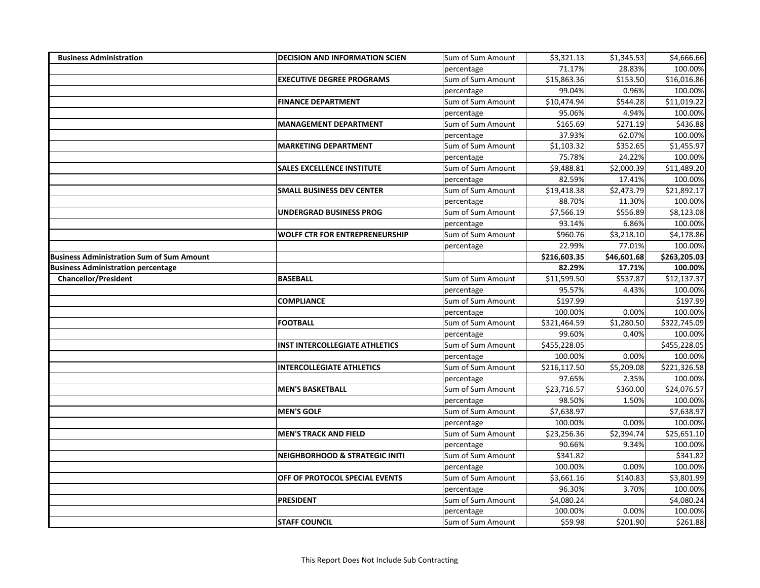| <b>Business Administration</b>                   | <b>DECISION AND INFORMATION SCIEN</b>     | Sum of Sum Amount | \$3,321.13               | \$1,345.53  | \$4,666.66   |
|--------------------------------------------------|-------------------------------------------|-------------------|--------------------------|-------------|--------------|
|                                                  |                                           | percentage        | 71.17%                   | 28.83%      | 100.00%      |
|                                                  | <b>EXECUTIVE DEGREE PROGRAMS</b>          | Sum of Sum Amount | \$15,863.36              | \$153.50    | \$16,016.86  |
|                                                  |                                           | percentage        | 99.04%                   | 0.96%       | 100.00%      |
|                                                  | <b>FINANCE DEPARTMENT</b>                 | Sum of Sum Amount | \$10,474.94              | \$544.28    | \$11,019.22  |
|                                                  |                                           | percentage        | 95.06%                   | 4.94%       | 100.00%      |
|                                                  | <b>MANAGEMENT DEPARTMENT</b>              | Sum of Sum Amount | \$165.69                 | \$271.19    | \$436.88     |
|                                                  |                                           | percentage        | 37.93%                   | 62.07%      | 100.00%      |
|                                                  | <b>MARKETING DEPARTMENT</b>               | Sum of Sum Amount | \$1,103.32               | \$352.65    | \$1,455.97   |
|                                                  |                                           | percentage        | 75.78%                   | 24.22%      | 100.00%      |
|                                                  | <b>SALES EXCELLENCE INSTITUTE</b>         | Sum of Sum Amount | \$9,488.81               | \$2,000.39  | \$11,489.20  |
|                                                  |                                           | percentage        | 82.59%                   | 17.41%      | 100.00%      |
|                                                  | <b>SMALL BUSINESS DEV CENTER</b>          | Sum of Sum Amount | \$19,418.38              | \$2,473.79  | \$21,892.17  |
|                                                  |                                           | percentage        | 88.70%                   | 11.30%      | 100.00%      |
|                                                  | UNDERGRAD BUSINESS PROG                   | Sum of Sum Amount | \$7,566.19               | \$556.89    | \$8,123.08   |
|                                                  |                                           | percentage        | 93.14%                   | 6.86%       | 100.00%      |
|                                                  | <b>WOLFF CTR FOR ENTREPRENEURSHIP</b>     | Sum of Sum Amount | \$960.76                 | \$3,218.10  | \$4,178.86   |
|                                                  |                                           | percentage        | 22.99%                   | 77.01%      | 100.00%      |
| <b>Business Administration Sum of Sum Amount</b> |                                           |                   | $\overline{$}216,603.35$ | \$46,601.68 | \$263,205.03 |
| <b>Business Administration percentage</b>        |                                           |                   | 82.29%                   | 17.71%      | 100.00%      |
| <b>Chancellor/President</b>                      | <b>BASEBALL</b>                           | Sum of Sum Amount | \$11,599.50              | \$537.87    | \$12,137.37  |
|                                                  |                                           | percentage        | 95.57%                   | 4.43%       | 100.00%      |
|                                                  | <b>COMPLIANCE</b>                         | Sum of Sum Amount | \$197.99                 |             | \$197.99     |
|                                                  |                                           | percentage        | 100.00%                  | 0.00%       | 100.00%      |
|                                                  | <b>FOOTBALL</b>                           | Sum of Sum Amount | \$321,464.59             | \$1,280.50  | \$322,745.09 |
|                                                  |                                           | percentage        | 99.60%                   | 0.40%       | 100.00%      |
|                                                  | <b>INST INTERCOLLEGIATE ATHLETICS</b>     | Sum of Sum Amount | \$455,228.05             |             | \$455,228.05 |
|                                                  |                                           | percentage        | 100.00%                  | 0.00%       | 100.00%      |
|                                                  | <b>INTERCOLLEGIATE ATHLETICS</b>          | Sum of Sum Amount | \$216,117.50             | \$5,209.08  | \$221,326.58 |
|                                                  |                                           | percentage        | 97.65%                   | 2.35%       | 100.00%      |
|                                                  | <b>MEN'S BASKETBALL</b>                   | Sum of Sum Amount | \$23,716.57              | \$360.00    | \$24,076.57  |
|                                                  |                                           | percentage        | 98.50%                   | 1.50%       | 100.00%      |
|                                                  | <b>MEN'S GOLF</b>                         | Sum of Sum Amount | \$7,638.97               |             | \$7,638.97   |
|                                                  |                                           | percentage        | 100.00%                  | 0.00%       | 100.00%      |
|                                                  | <b>MEN'S TRACK AND FIELD</b>              | Sum of Sum Amount | \$23,256.36              | \$2,394.74  | \$25,651.10  |
|                                                  |                                           | percentage        | 90.66%                   | 9.34%       | 100.00%      |
|                                                  | <b>NEIGHBORHOOD &amp; STRATEGIC INITI</b> | Sum of Sum Amount | \$341.82                 |             | \$341.82     |
|                                                  |                                           | percentage        | 100.00%                  | 0.00%       | 100.00%      |
|                                                  | OFF OF PROTOCOL SPECIAL EVENTS            | Sum of Sum Amount | \$3,661.16               | \$140.83    | \$3,801.99   |
|                                                  |                                           | percentage        | 96.30%                   | 3.70%       | 100.00%      |
|                                                  | <b>PRESIDENT</b>                          | Sum of Sum Amount | \$4,080.24               |             | \$4,080.24   |
|                                                  |                                           | percentage        | 100.00%                  | 0.00%       | 100.00%      |
|                                                  | <b>STAFF COUNCIL</b>                      | Sum of Sum Amount | \$59.98                  | \$201.90    | 5261.88      |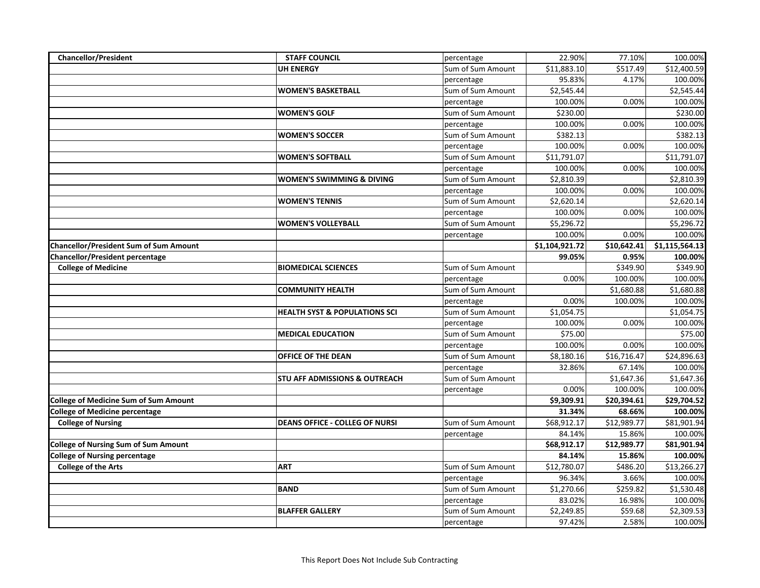| <b>Chancellor/President</b>                   | <b>STAFF COUNCIL</b>                     | percentage        | 22.90%         | 77.10%      | 100.00%        |
|-----------------------------------------------|------------------------------------------|-------------------|----------------|-------------|----------------|
|                                               | <b>UH ENERGY</b>                         | Sum of Sum Amount | \$11,883.10    | \$517.49    | \$12,400.59    |
|                                               |                                          | percentage        | 95.83%         | 4.17%       | 100.00%        |
|                                               | <b>WOMEN'S BASKETBALL</b>                | Sum of Sum Amount | \$2,545.44     |             | \$2,545.44     |
|                                               |                                          | percentage        | 100.00%        | 0.00%       | 100.00%        |
|                                               | <b>WOMEN'S GOLF</b>                      | Sum of Sum Amount | \$230.00       |             | \$230.00       |
|                                               |                                          | percentage        | 100.00%        | 0.00%       | 100.00%        |
|                                               | <b>WOMEN'S SOCCER</b>                    | Sum of Sum Amount | \$382.13       |             | \$382.13       |
|                                               |                                          | percentage        | 100.00%        | 0.00%       | 100.00%        |
|                                               | <b>WOMEN'S SOFTBALL</b>                  | Sum of Sum Amount | \$11,791.07    |             | \$11,791.07    |
|                                               |                                          | percentage        | 100.00%        | 0.00%       | 100.00%        |
|                                               | <b>WOMEN'S SWIMMING &amp; DIVING</b>     | Sum of Sum Amount | \$2,810.39     |             | \$2,810.39     |
|                                               |                                          | percentage        | 100.00%        | 0.00%       | 100.00%        |
|                                               | <b>WOMEN'S TENNIS</b>                    | Sum of Sum Amount | \$2,620.14     |             | \$2,620.14     |
|                                               |                                          | percentage        | 100.00%        | 0.00%       | 100.00%        |
|                                               | <b>WOMEN'S VOLLEYBALL</b>                | Sum of Sum Amount | \$5,296.72     |             | \$5,296.72     |
|                                               |                                          | percentage        | 100.00%        | 0.00%       | 100.00%        |
| <b>Chancellor/President Sum of Sum Amount</b> |                                          |                   | \$1,104,921.72 | \$10,642.41 | \$1,115,564.13 |
| Chancellor/President percentage               |                                          |                   | 99.05%         | 0.95%       | 100.00%        |
| <b>College of Medicine</b>                    | <b>BIOMEDICAL SCIENCES</b>               | Sum of Sum Amount |                | \$349.90    | \$349.90       |
|                                               |                                          | percentage        | 0.00%          | 100.00%     | 100.00%        |
|                                               | <b>COMMUNITY HEALTH</b>                  | Sum of Sum Amount |                | \$1,680.88  | \$1,680.88     |
|                                               |                                          | percentage        | 0.00%          | 100.00%     | 100.00%        |
|                                               | <b>HEALTH SYST &amp; POPULATIONS SCI</b> | Sum of Sum Amount | \$1,054.75     |             | \$1,054.75     |
|                                               |                                          | percentage        | 100.00%        | 0.00%       | 100.00%        |
|                                               | <b>MEDICAL EDUCATION</b>                 | Sum of Sum Amount | \$75.00        |             | \$75.00        |
|                                               |                                          | percentage        | 100.00%        | 0.00%       | 100.00%        |
|                                               | <b>OFFICE OF THE DEAN</b>                | Sum of Sum Amount | \$8,180.16     | \$16,716.47 | \$24,896.63    |
|                                               |                                          | percentage        | 32.86%         | 67.14%      | 100.00%        |
|                                               | STU AFF ADMISSIONS & OUTREACH            | Sum of Sum Amount |                | \$1,647.36  | \$1,647.36     |
|                                               |                                          | percentage        | 0.00%          | 100.00%     | 100.00%        |
| <b>College of Medicine Sum of Sum Amount</b>  |                                          |                   | \$9,309.91     | \$20,394.61 | \$29,704.52    |
| <b>College of Medicine percentage</b>         |                                          |                   | 31.34%         | 68.66%      | 100.00%        |
| <b>College of Nursing</b>                     | <b>DEANS OFFICE - COLLEG OF NURSI</b>    | Sum of Sum Amount | \$68,912.17    | \$12,989.77 | \$81,901.94    |
|                                               |                                          | percentage        | 84.14%         | 15.86%      | 100.00%        |
| <b>College of Nursing Sum of Sum Amount</b>   |                                          |                   | \$68,912.17    | \$12,989.77 | \$81,901.94    |
| <b>College of Nursing percentage</b>          |                                          |                   | 84.14%         | 15.86%      | 100.00%        |
| <b>College of the Arts</b>                    | <b>ART</b>                               | Sum of Sum Amount | \$12,780.07    | \$486.20    | \$13,266.27    |
|                                               |                                          | percentage        | 96.34%         | 3.66%       | 100.00%        |
|                                               | <b>BAND</b>                              | Sum of Sum Amount | \$1,270.66     | \$259.82    | \$1,530.48     |
|                                               |                                          | percentage        | 83.02%         | 16.98%      | 100.00%        |
|                                               | <b>BLAFFER GALLERY</b>                   | Sum of Sum Amount | \$2,249.85     | \$59.68     | \$2,309.53     |
|                                               |                                          | percentage        | 97.42%         | 2.58%       | 100.00%        |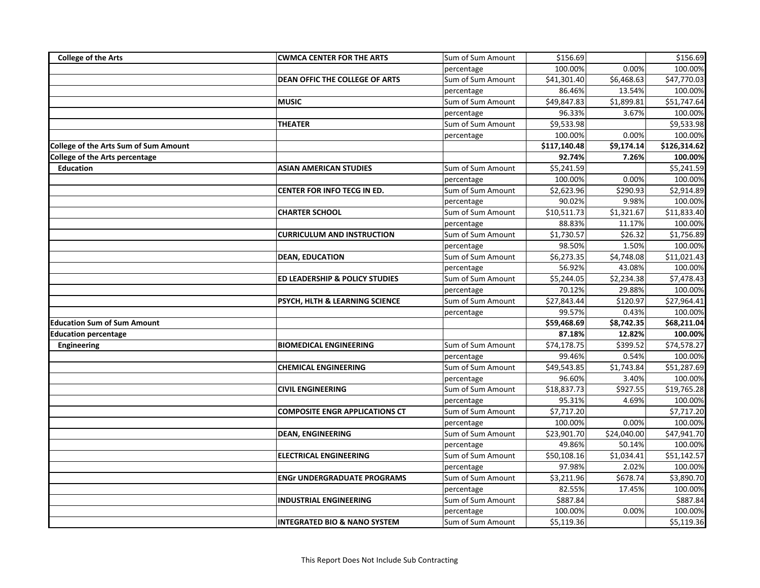| <b>College of the Arts</b>                   | <b>CWMCA CENTER FOR THE ARTS</b>          | Sum of Sum Amount | \$156.69     |                        | \$156.69     |
|----------------------------------------------|-------------------------------------------|-------------------|--------------|------------------------|--------------|
|                                              |                                           | percentage        | 100.00%      | 0.00%                  | 100.00%      |
|                                              | <b>DEAN OFFIC THE COLLEGE OF ARTS</b>     | Sum of Sum Amount | \$41,301.40  | \$6,468.63             | \$47,770.03  |
|                                              |                                           | percentage        | 86.46%       | 13.54%                 | 100.00%      |
|                                              | <b>MUSIC</b>                              | Sum of Sum Amount | \$49,847.83  | \$1,899.81             | \$51,747.64  |
|                                              |                                           | percentage        | 96.33%       | 3.67%                  | 100.00%      |
|                                              | <b>THEATER</b>                            | Sum of Sum Amount | \$9,533.98   |                        | \$9,533.98   |
|                                              |                                           | percentage        | 100.00%      | 0.00%                  | 100.00%      |
| <b>College of the Arts Sum of Sum Amount</b> |                                           |                   | \$117,140.48 | \$9,174.14             | \$126,314.62 |
| College of the Arts percentage               |                                           |                   | 92.74%       | 7.26%                  | 100.00%      |
| <b>Education</b>                             | <b>ASIAN AMERICAN STUDIES</b>             | Sum of Sum Amount | \$5,241.59   |                        | \$5,241.59   |
|                                              |                                           | percentage        | 100.00%      | 0.00%                  | 100.00%      |
|                                              | CENTER FOR INFO TECG IN ED.               | Sum of Sum Amount | \$2,623.96   | \$290.93               | \$2,914.89   |
|                                              |                                           | percentage        | 90.02%       | 9.98%                  | 100.00%      |
|                                              | <b>CHARTER SCHOOL</b>                     | Sum of Sum Amount | \$10,511.73  | $\overline{$}1,321.67$ | \$11,833.40  |
|                                              |                                           | percentage        | 88.83%       | 11.17%                 | 100.00%      |
|                                              | <b>CURRICULUM AND INSTRUCTION</b>         | Sum of Sum Amount | \$1,730.57   | \$26.32                | \$1,756.89   |
|                                              |                                           | percentage        | 98.50%       | 1.50%                  | 100.00%      |
|                                              | <b>DEAN, EDUCATION</b>                    | Sum of Sum Amount | \$6,273.35   | \$4,748.08             | \$11,021.43  |
|                                              |                                           | percentage        | 56.92%       | 43.08%                 | 100.00%      |
|                                              | <b>ED LEADERSHIP &amp; POLICY STUDIES</b> | Sum of Sum Amount | \$5,244.05   | \$2,234.38             | \$7,478.43   |
|                                              |                                           | percentage        | 70.12%       | 29.88%                 | 100.00%      |
|                                              | PSYCH, HLTH & LEARNING SCIENCE            | Sum of Sum Amount | \$27,843.44  | \$120.97               | \$27,964.41  |
|                                              |                                           | percentage        | 99.57%       | 0.43%                  | 100.00%      |
| <b>Education Sum of Sum Amount</b>           |                                           |                   | \$59,468.69  | \$8,742.35             | \$68,211.04  |
| <b>Education percentage</b>                  |                                           |                   | 87.18%       | 12.82%                 | 100.00%      |
| Engineering                                  | <b>BIOMEDICAL ENGINEERING</b>             | Sum of Sum Amount | \$74,178.75  | \$399.52               | \$74,578.27  |
|                                              |                                           | percentage        | 99.46%       | 0.54%                  | 100.00%      |
|                                              | <b>CHEMICAL ENGINEERING</b>               | Sum of Sum Amount | \$49,543.85  | \$1,743.84             | \$51,287.69  |
|                                              |                                           | percentage        | 96.60%       | 3.40%                  | 100.00%      |
|                                              | <b>CIVIL ENGINEERING</b>                  | Sum of Sum Amount | \$18,837.73  | \$927.55               | \$19,765.28  |
|                                              |                                           | percentage        | 95.31%       | 4.69%                  | 100.00%      |
|                                              | <b>COMPOSITE ENGR APPLICATIONS CT</b>     | Sum of Sum Amount | \$7,717.20   |                        | \$7,717.20   |
|                                              |                                           | percentage        | 100.00%      | 0.00%                  | 100.00%      |
|                                              | <b>DEAN, ENGINEERING</b>                  | Sum of Sum Amount | \$23,901.70  | \$24,040.00            | \$47,941.70  |
|                                              |                                           | percentage        | 49.86%       | 50.14%                 | 100.00%      |
|                                              | <b>ELECTRICAL ENGINEERING</b>             | Sum of Sum Amount | \$50,108.16  | \$1,034.41             | \$51,142.57  |
|                                              |                                           | percentage        | 97.98%       | 2.02%                  | 100.00%      |
|                                              | <b>ENGr UNDERGRADUATE PROGRAMS</b>        | Sum of Sum Amount | \$3,211.96   | \$678.74               | \$3,890.70   |
|                                              |                                           | percentage        | 82.55%       | 17.45%                 | 100.00%      |
|                                              | <b>INDUSTRIAL ENGINEERING</b>             | Sum of Sum Amount | \$887.84     |                        | \$887.84     |
|                                              |                                           | percentage        | 100.00%      | 0.00%                  | 100.00%      |
|                                              | <b>INTEGRATED BIO &amp; NANO SYSTEM</b>   | Sum of Sum Amount | \$5,119.36   |                        | \$5,119.36   |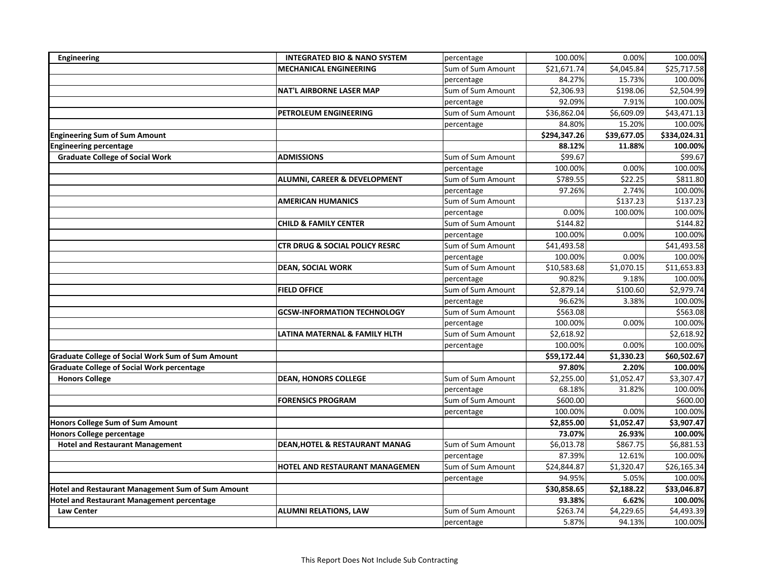| Engineering                                              | <b>INTEGRATED BIO &amp; NANO SYSTEM</b>   | percentage        | 100.00%      | 0.00%       | 100.00%      |
|----------------------------------------------------------|-------------------------------------------|-------------------|--------------|-------------|--------------|
|                                                          | <b>MECHANICAL ENGINEERING</b>             | Sum of Sum Amount | \$21,671.74  | \$4,045.84  | \$25,717.58  |
|                                                          |                                           | percentage        | 84.27%       | 15.73%      | 100.00%      |
|                                                          | <b>NAT'L AIRBORNE LASER MAP</b>           | Sum of Sum Amount | \$2,306.93   | \$198.06    | \$2,504.99   |
|                                                          |                                           | percentage        | 92.09%       | 7.91%       | 100.00%      |
|                                                          | PETROLEUM ENGINEERING                     | Sum of Sum Amount | \$36,862.04  | \$6,609.09  | \$43,471.13  |
|                                                          |                                           | percentage        | 84.80%       | 15.20%      | 100.00%      |
| <b>Engineering Sum of Sum Amount</b>                     |                                           |                   | \$294,347.26 | \$39,677.05 | \$334,024.31 |
| <b>Engineering percentage</b>                            |                                           |                   | 88.12%       | 11.88%      | 100.00%      |
| <b>Graduate College of Social Work</b>                   | <b>ADMISSIONS</b>                         | Sum of Sum Amount | \$99.67      |             | \$99.67      |
|                                                          |                                           | percentage        | 100.00%      | 0.00%       | 100.00%      |
|                                                          | ALUMNI, CAREER & DEVELOPMENT              | Sum of Sum Amount | \$789.55     | \$22.25     | \$811.80     |
|                                                          |                                           | percentage        | 97.26%       | 2.74%       | 100.00%      |
|                                                          | <b>AMERICAN HUMANICS</b>                  | Sum of Sum Amount |              | \$137.23    | \$137.23     |
|                                                          |                                           | percentage        | 0.00%        | 100.00%     | 100.00%      |
|                                                          | <b>CHILD &amp; FAMILY CENTER</b>          | Sum of Sum Amount | \$144.82     |             | \$144.82     |
|                                                          |                                           | percentage        | 100.00%      | 0.00%       | 100.00%      |
|                                                          | CTR DRUG & SOCIAL POLICY RESRC            | Sum of Sum Amount | \$41,493.58  |             | \$41,493.58  |
|                                                          |                                           | percentage        | 100.00%      | 0.00%       | 100.00%      |
|                                                          | <b>DEAN, SOCIAL WORK</b>                  | Sum of Sum Amount | \$10,583.68  | \$1,070.15  | \$11,653.83  |
|                                                          |                                           | percentage        | 90.82%       | 9.18%       | 100.00%      |
|                                                          | <b>FIELD OFFICE</b>                       | Sum of Sum Amount | \$2,879.14   | \$100.60    | \$2,979.74   |
|                                                          |                                           | percentage        | 96.62%       | 3.38%       | 100.00%      |
|                                                          | <b>GCSW-INFORMATION TECHNOLOGY</b>        | Sum of Sum Amount | \$563.08     |             | \$563.08     |
|                                                          |                                           | percentage        | 100.00%      | 0.00%       | 100.00%      |
|                                                          | LATINA MATERNAL & FAMILY HLTH             | Sum of Sum Amount | \$2,618.92   |             | \$2,618.92   |
|                                                          |                                           | percentage        | 100.00%      | 0.00%       | 100.00%      |
| <b>Graduate College of Social Work Sum of Sum Amount</b> |                                           |                   | 559,172.44   | \$1,330.23  | \$60,502.67  |
| <b>Graduate College of Social Work percentage</b>        |                                           |                   | 97.80%       | 2.20%       | 100.00%      |
| <b>Honors College</b>                                    | <b>DEAN, HONORS COLLEGE</b>               | Sum of Sum Amount | \$2,255.00   | \$1,052.47  | \$3,307.47   |
|                                                          |                                           | percentage        | 68.18%       | 31.82%      | 100.00%      |
|                                                          | <b>FORENSICS PROGRAM</b>                  | Sum of Sum Amount | \$600.00     |             | \$600.00     |
|                                                          |                                           | percentage        | 100.00%      | 0.00%       | 100.00%      |
| Honors College Sum of Sum Amount                         |                                           |                   | \$2,855.00   | \$1,052.47  | \$3,907.47   |
| <b>Honors College percentage</b>                         |                                           |                   | 73.07%       | 26.93%      | 100.00%      |
| <b>Hotel and Restaurant Management</b>                   | <b>DEAN, HOTEL &amp; RESTAURANT MANAG</b> | Sum of Sum Amount | \$6,013.78   | \$867.75    | \$6,881.53   |
|                                                          |                                           | percentage        | 87.39%       | 12.61%      | 100.00%      |
|                                                          | HOTEL AND RESTAURANT MANAGEMEN            | Sum of Sum Amount | \$24,844.87  | \$1,320.47  | \$26,165.34  |
|                                                          |                                           | percentage        | 94.95%       | 5.05%       | 100.00%      |
| Hotel and Restaurant Management Sum of Sum Amount        |                                           |                   | \$30,858.65  | \$2,188.22  | \$33,046.87  |
| <b>Hotel and Restaurant Management percentage</b>        |                                           |                   | 93.38%       | 6.62%       | 100.00%      |
| <b>Law Center</b>                                        | <b>ALUMNI RELATIONS, LAW</b>              | Sum of Sum Amount | \$263.74     | \$4,229.65  | \$4,493.39   |
|                                                          |                                           | percentage        | 5.87%        | 94.13%      | 100.00%      |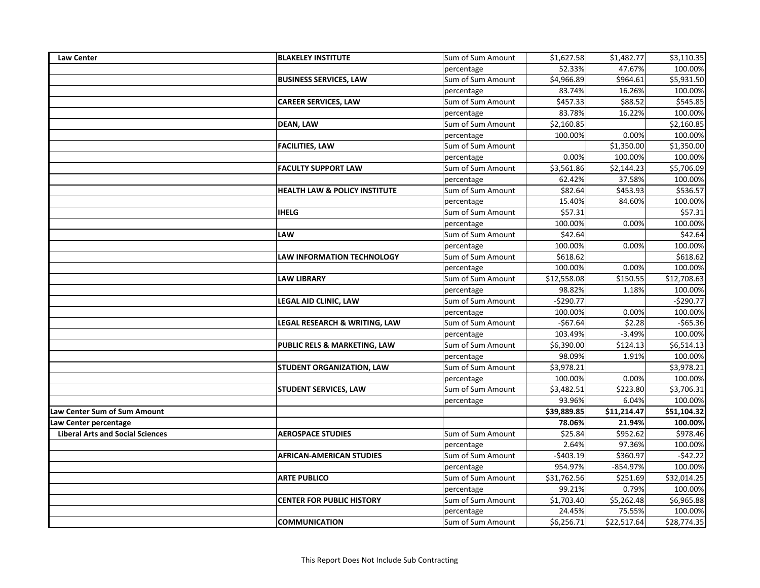| <b>Law Center</b>                       | <b>BLAKELEY INSTITUTE</b>                | Sum of Sum Amount | \$1,627.58  | \$1,482.77  | \$3,110.35  |
|-----------------------------------------|------------------------------------------|-------------------|-------------|-------------|-------------|
|                                         |                                          | percentage        | 52.33%      | 47.67%      | 100.00%     |
|                                         | <b>BUSINESS SERVICES, LAW</b>            | Sum of Sum Amount | \$4,966.89  | \$964.61    | \$5,931.50  |
|                                         |                                          | percentage        | 83.74%      | 16.26%      | 100.00%     |
|                                         | <b>CAREER SERVICES, LAW</b>              | Sum of Sum Amount | \$457.33    | \$88.52     | \$545.85    |
|                                         |                                          | percentage        | 83.78%      | 16.22%      | 100.00%     |
|                                         | <b>DEAN, LAW</b>                         | Sum of Sum Amount | \$2,160.85  |             | \$2,160.85  |
|                                         |                                          | percentage        | 100.00%     | 0.00%       | 100.00%     |
|                                         | <b>FACILITIES, LAW</b>                   | Sum of Sum Amount |             | \$1,350.00  | \$1,350.00  |
|                                         |                                          | percentage        | 0.00%       | 100.00%     | 100.00%     |
|                                         | <b>FACULTY SUPPORT LAW</b>               | Sum of Sum Amount | \$3,561.86  | \$2,144.23  | \$5,706.09  |
|                                         |                                          | percentage        | 62.42%      | 37.58%      | 100.00%     |
|                                         | <b>HEALTH LAW &amp; POLICY INSTITUTE</b> | Sum of Sum Amount | \$82.64     | \$453.93    | \$536.57    |
|                                         |                                          | percentage        | 15.40%      | 84.60%      | 100.00%     |
|                                         | <b>IHELG</b>                             | Sum of Sum Amount | \$57.31     |             | \$57.31     |
|                                         |                                          | percentage        | 100.00%     | 0.00%       | 100.00%     |
|                                         | LAW                                      | Sum of Sum Amount | \$42.64     |             | \$42.64     |
|                                         |                                          | percentage        | 100.00%     | 0.00%       | 100.00%     |
|                                         | <b>LAW INFORMATION TECHNOLOGY</b>        | Sum of Sum Amount | \$618.62    |             | \$618.62    |
|                                         |                                          | percentage        | 100.00%     | 0.00%       | 100.00%     |
|                                         | <b>LAW LIBRARY</b>                       | Sum of Sum Amount | \$12,558.08 | \$150.55    | \$12,708.63 |
|                                         |                                          | percentage        | 98.82%      | 1.18%       | 100.00%     |
|                                         | LEGAL AID CLINIC, LAW                    | Sum of Sum Amount | $-$290.77$  |             | $-$290.77$  |
|                                         |                                          | percentage        | 100.00%     | 0.00%       | 100.00%     |
|                                         | LEGAL RESEARCH & WRITING, LAW            | Sum of Sum Amount | $-$67.64$   | \$2.28      | $-565.36$   |
|                                         |                                          | percentage        | 103.49%     | $-3.49%$    | 100.00%     |
|                                         | PUBLIC RELS & MARKETING, LAW             | Sum of Sum Amount | \$6,390.00  | \$124.13    | \$6,514.13  |
|                                         |                                          | percentage        | 98.09%      | 1.91%       | 100.00%     |
|                                         | STUDENT ORGANIZATION, LAW                | Sum of Sum Amount | \$3,978.21  |             | \$3,978.21  |
|                                         |                                          | percentage        | 100.00%     | 0.00%       | 100.00%     |
|                                         | STUDENT SERVICES, LAW                    | Sum of Sum Amount | \$3,482.51  | \$223.80    | \$3,706.31  |
|                                         |                                          | percentage        | 93.96%      | 6.04%       | 100.00%     |
| Law Center Sum of Sum Amount            |                                          |                   | \$39,889.85 | \$11,214.47 | \$51,104.32 |
| Law Center percentage                   |                                          |                   | 78.06%      | 21.94%      | 100.00%     |
| <b>Liberal Arts and Social Sciences</b> | <b>AEROSPACE STUDIES</b>                 | Sum of Sum Amount | \$25.84     | \$952.62    | \$978.46    |
|                                         |                                          | percentage        | 2.64%       | 97.36%      | 100.00%     |
|                                         | <b>AFRICAN-AMERICAN STUDIES</b>          | Sum of Sum Amount | $-$403.19$  | \$360.97    | $-542.22$   |
|                                         |                                          | percentage        | 954.97%     | -854.97%    | 100.00%     |
|                                         | <b>ARTE PUBLICO</b>                      | Sum of Sum Amount | \$31,762.56 | \$251.69    | \$32,014.25 |
|                                         |                                          | percentage        | 99.21%      | 0.79%       | 100.00%     |
|                                         | <b>CENTER FOR PUBLIC HISTORY</b>         | Sum of Sum Amount | \$1,703.40  | \$5,262.48  | \$6,965.88  |
|                                         |                                          | percentage        | 24.45%      | 75.55%      | 100.00%     |
|                                         | <b>COMMUNICATION</b>                     | Sum of Sum Amount | \$6,256.71  | \$22,517.64 | \$28,774.35 |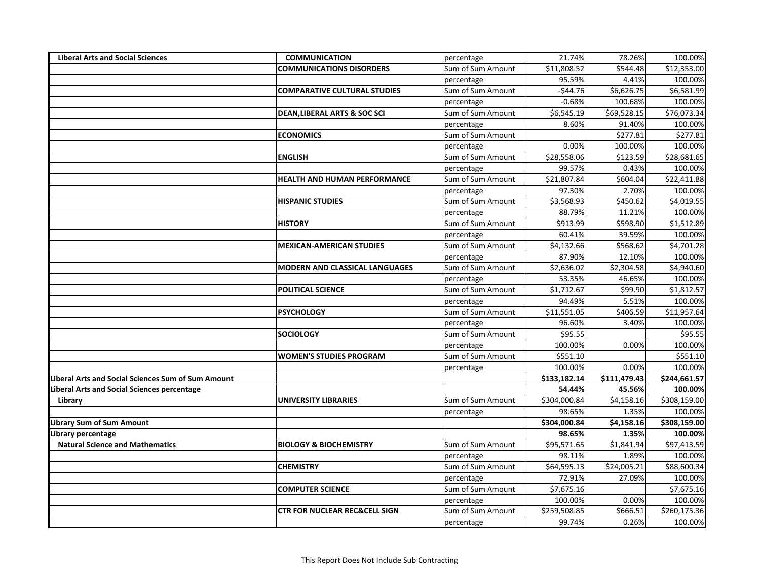| <b>Liberal Arts and Social Sciences</b>            | <b>COMMUNICATION</b>                     | percentage        | 21.74%       | 78.26%       | 100.00%      |
|----------------------------------------------------|------------------------------------------|-------------------|--------------|--------------|--------------|
|                                                    | <b>COMMUNICATIONS DISORDERS</b>          | Sum of Sum Amount | \$11,808.52  | \$544.48     | \$12,353.00  |
|                                                    |                                          | percentage        | 95.59%       | 4.41%        | 100.00%      |
|                                                    | <b>COMPARATIVE CULTURAL STUDIES</b>      | Sum of Sum Amount | $-$44.76$    | \$6,626.75   | \$6,581.99   |
|                                                    |                                          | percentage        | $-0.68%$     | 100.68%      | 100.00%      |
|                                                    | <b>DEAN, LIBERAL ARTS &amp; SOC SCI</b>  | Sum of Sum Amount | \$6,545.19   | \$69,528.15  | \$76,073.34  |
|                                                    |                                          | percentage        | 8.60%        | 91.40%       | 100.00%      |
|                                                    | <b>ECONOMICS</b>                         | Sum of Sum Amount |              | \$277.81     | \$277.81     |
|                                                    |                                          | percentage        | 0.00%        | 100.00%      | 100.00%      |
|                                                    | <b>ENGLISH</b>                           | Sum of Sum Amount | \$28,558.06  | \$123.59     | \$28,681.65  |
|                                                    |                                          | percentage        | 99.57%       | 0.43%        | 100.00%      |
|                                                    | <b>HEALTH AND HUMAN PERFORMANCE</b>      | Sum of Sum Amount | \$21,807.84  | \$604.04     | \$22,411.88  |
|                                                    |                                          | percentage        | 97.30%       | 2.70%        | 100.00%      |
|                                                    | <b>HISPANIC STUDIES</b>                  | Sum of Sum Amount | \$3,568.93   | \$450.62     | \$4,019.55   |
|                                                    |                                          | percentage        | 88.79%       | 11.21%       | 100.00%      |
|                                                    | <b>HISTORY</b>                           | Sum of Sum Amount | \$913.99     | \$598.90     | \$1,512.89   |
|                                                    |                                          | percentage        | 60.41%       | 39.59%       | 100.00%      |
|                                                    | <b>MEXICAN-AMERICAN STUDIES</b>          | Sum of Sum Amount | \$4,132.66   | \$568.62     | \$4,701.28   |
|                                                    |                                          | percentage        | 87.90%       | 12.10%       | 100.00%      |
|                                                    | <b>MODERN AND CLASSICAL LANGUAGES</b>    | Sum of Sum Amount | \$2,636.02   | \$2,304.58   | \$4,940.60   |
|                                                    |                                          | percentage        | 53.35%       | 46.65%       | 100.00%      |
|                                                    | <b>POLITICAL SCIENCE</b>                 | Sum of Sum Amount | \$1,712.67   | \$99.90      | \$1,812.57   |
|                                                    |                                          | percentage        | 94.49%       | 5.51%        | 100.00%      |
|                                                    | <b>PSYCHOLOGY</b>                        | Sum of Sum Amount | \$11,551.05  | \$406.59     | \$11,957.64  |
|                                                    |                                          | percentage        | 96.60%       | 3.40%        | 100.00%      |
|                                                    | <b>SOCIOLOGY</b>                         | Sum of Sum Amount | \$95.55      |              | \$95.55      |
|                                                    |                                          | percentage        | 100.00%      | 0.00%        | 100.00%      |
|                                                    | <b>WOMEN'S STUDIES PROGRAM</b>           | Sum of Sum Amount | \$551.10     |              | 5551.10      |
|                                                    |                                          | percentage        | 100.00%      | 0.00%        | 100.00%      |
| iberal Arts and Social Sciences Sum of Sum Amount. |                                          |                   | \$133,182.14 | \$111,479.43 | \$244,661.57 |
| iberal Arts and Social Sciences percentage.        |                                          |                   | 54.44%       | 45.56%       | 100.00%      |
| Library                                            | UNIVERSITY LIBRARIES                     | Sum of Sum Amount | \$304,000.84 | \$4,158.16   | \$308,159.00 |
|                                                    |                                          | percentage        | 98.65%       | 1.35%        | 100.00%      |
| ibrary Sum of Sum Amount.                          |                                          |                   | \$304,000.84 | \$4,158.16   | \$308,159.00 |
| Library percentage                                 |                                          |                   | 98.65%       | 1.35%        | 100.00%      |
| <b>Natural Science and Mathematics</b>             | <b>BIOLOGY &amp; BIOCHEMISTRY</b>        | Sum of Sum Amount | \$95,571.65  | \$1,841.94   | \$97,413.59  |
|                                                    |                                          | percentage        | 98.11%       | 1.89%        | 100.00%      |
|                                                    | <b>CHEMISTRY</b>                         | Sum of Sum Amount | \$64,595.13  | \$24,005.21  | \$88,600.34  |
|                                                    |                                          | percentage        | 72.91%       | 27.09%       | 100.00%      |
|                                                    | <b>COMPUTER SCIENCE</b>                  | Sum of Sum Amount | \$7,675.16   |              | \$7,675.16   |
|                                                    |                                          | percentage        | 100.00%      | 0.00%        | 100.00%      |
|                                                    | <b>CTR FOR NUCLEAR REC&amp;CELL SIGN</b> | Sum of Sum Amount | \$259,508.85 | \$666.51     | \$260,175.36 |
|                                                    |                                          | percentage        | 99.74%       | 0.26%        | 100.00%      |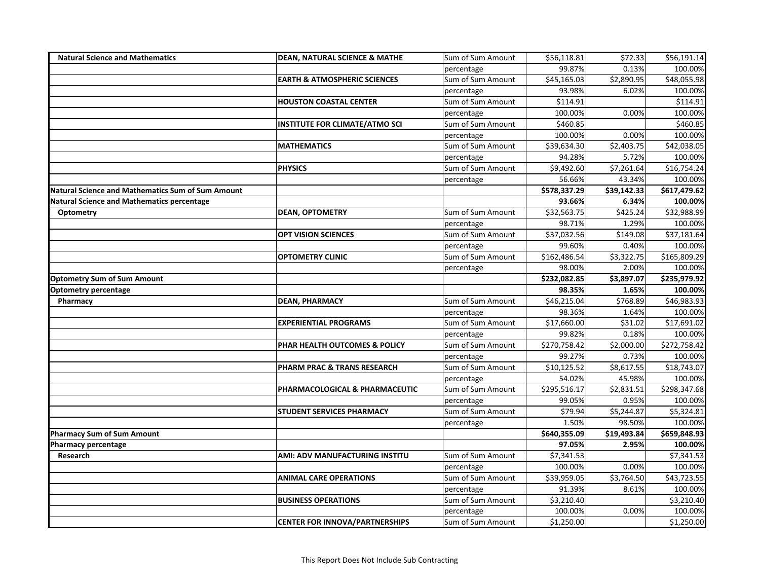| <b>Natural Science and Mathematics</b>                   | <b>DEAN, NATURAL SCIENCE &amp; MATHE</b> | Sum of Sum Amount | \$56,118.81  | \$72.33     | \$56,191.14  |
|----------------------------------------------------------|------------------------------------------|-------------------|--------------|-------------|--------------|
|                                                          |                                          | percentage        | 99.87%       | 0.13%       | 100.00%      |
|                                                          | <b>EARTH &amp; ATMOSPHERIC SCIENCES</b>  | Sum of Sum Amount | \$45,165.03  | \$2,890.95  | \$48,055.98  |
|                                                          |                                          | percentage        | 93.98%       | 6.02%       | 100.00%      |
|                                                          | <b>HOUSTON COASTAL CENTER</b>            | Sum of Sum Amount | \$114.91     |             | \$114.91     |
|                                                          |                                          | percentage        | 100.00%      | 0.00%       | 100.00%      |
|                                                          | <b>INSTITUTE FOR CLIMATE/ATMO SCI</b>    | Sum of Sum Amount | \$460.85     |             | \$460.85     |
|                                                          |                                          | percentage        | 100.00%      | 0.00%       | 100.00%      |
|                                                          | <b>MATHEMATICS</b>                       | Sum of Sum Amount | \$39,634.30  | \$2,403.75  | \$42,038.05  |
|                                                          |                                          | percentage        | 94.28%       | 5.72%       | 100.00%      |
|                                                          | <b>PHYSICS</b>                           | Sum of Sum Amount | \$9,492.60   | \$7,261.64  | \$16,754.24  |
|                                                          |                                          | percentage        | 56.66%       | 43.34%      | 100.00%      |
| <b>Natural Science and Mathematics Sum of Sum Amount</b> |                                          |                   | \$578,337.29 | \$39,142.33 | \$617,479.62 |
| <b>Natural Science and Mathematics percentage</b>        |                                          |                   | 93.66%       | 6.34%       | 100.00%      |
| Optometry                                                | <b>DEAN, OPTOMETRY</b>                   | Sum of Sum Amount | \$32,563.75  | \$425.24    | \$32,988.99  |
|                                                          |                                          | percentage        | 98.71%       | 1.29%       | 100.00%      |
|                                                          | OPT VISION SCIENCES                      | Sum of Sum Amount | \$37,032.56  | \$149.08    | \$37,181.64  |
|                                                          |                                          | percentage        | 99.60%       | 0.40%       | 100.00%      |
|                                                          | <b>OPTOMETRY CLINIC</b>                  | Sum of Sum Amount | \$162,486.54 | \$3,322.75  | \$165,809.29 |
|                                                          |                                          | percentage        | 98.00%       | 2.00%       | 100.00%      |
| <b>Optometry Sum of Sum Amount</b>                       |                                          |                   | \$232,082.85 | \$3,897.07  | \$235,979.92 |
| <b>Optometry percentage</b>                              |                                          |                   | 98.35%       | 1.65%       | 100.00%      |
| Pharmacy                                                 | <b>DEAN, PHARMACY</b>                    | Sum of Sum Amount | \$46,215.04  | \$768.89    | \$46,983.93  |
|                                                          |                                          | percentage        | 98.36%       | 1.64%       | 100.00%      |
|                                                          | <b>EXPERIENTIAL PROGRAMS</b>             | Sum of Sum Amount | \$17,660.00  | \$31.02     | \$17,691.02  |
|                                                          |                                          | percentage        | 99.82%       | 0.18%       | 100.00%      |
|                                                          | PHAR HEALTH OUTCOMES & POLICY            | Sum of Sum Amount | \$270,758.42 | \$2,000.00  | \$272,758.42 |
|                                                          |                                          | percentage        | 99.27%       | 0.73%       | 100.00%      |
|                                                          | PHARM PRAC & TRANS RESEARCH              | Sum of Sum Amount | \$10,125.52  | \$8,617.55  | \$18,743.07  |
|                                                          |                                          | percentage        | 54.02%       | 45.98%      | 100.00%      |
|                                                          | PHARMACOLOGICAL & PHARMACEUTIC           | Sum of Sum Amount | \$295,516.17 | \$2,831.51  | \$298,347.68 |
|                                                          |                                          | percentage        | 99.05%       | 0.95%       | 100.00%      |
|                                                          | STUDENT SERVICES PHARMACY                | Sum of Sum Amount | \$79.94      | \$5,244.87  | \$5,324.81   |
|                                                          |                                          | percentage        | 1.50%        | 98.50%      | 100.00%      |
| <b>Pharmacy Sum of Sum Amount</b>                        |                                          |                   | \$640,355.09 | \$19,493.84 | \$659,848.93 |
| <b>Pharmacy percentage</b>                               |                                          |                   | 97.05%       | 2.95%       | 100.00%      |
| Research                                                 | AMI: ADV MANUFACTURING INSTITU           | Sum of Sum Amount | \$7,341.53   |             | \$7,341.53   |
|                                                          |                                          | percentage        | 100.00%      | 0.00%       | 100.00%      |
|                                                          | <b>ANIMAL CARE OPERATIONS</b>            | Sum of Sum Amount | \$39,959.05  | \$3,764.50  | \$43,723.55  |
|                                                          |                                          | percentage        | 91.39%       | 8.61%       | 100.00%      |
|                                                          | <b>BUSINESS OPERATIONS</b>               | Sum of Sum Amount | \$3,210.40   |             | \$3,210.40   |
|                                                          |                                          | percentage        | 100.00%      | 0.00%       | 100.00%      |
|                                                          | <b>CENTER FOR INNOVA/PARTNERSHIPS</b>    | Sum of Sum Amount | \$1,250.00   |             | \$1,250.00   |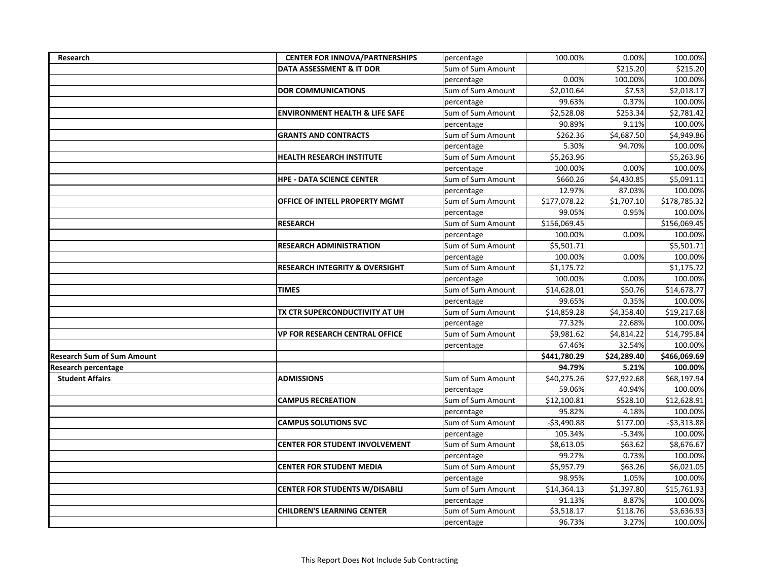| Research                          | <b>CENTER FOR INNOVA/PARTNERSHIPS</b>     | percentage        | 100.00%      | 0.00%       | 100.00%      |
|-----------------------------------|-------------------------------------------|-------------------|--------------|-------------|--------------|
|                                   | DATA ASSESSMENT & IT DOR                  | Sum of Sum Amount |              | \$215.20    | \$215.20     |
|                                   |                                           | percentage        | 0.00%        | 100.00%     | 100.00%      |
|                                   | <b>DOR COMMUNICATIONS</b>                 | Sum of Sum Amount | \$2,010.64   | \$7.53      | \$2,018.17   |
|                                   |                                           | percentage        | 99.63%       | 0.37%       | 100.00%      |
|                                   | <b>ENVIRONMENT HEALTH &amp; LIFE SAFE</b> | Sum of Sum Amount | \$2,528.08   | \$253.34    | \$2,781.42   |
|                                   |                                           | percentage        | 90.89%       | 9.11%       | 100.00%      |
|                                   | <b>GRANTS AND CONTRACTS</b>               | Sum of Sum Amount | \$262.36     | \$4,687.50  | \$4,949.86   |
|                                   |                                           | percentage        | 5.30%        | 94.70%      | 100.00%      |
|                                   | <b>HEALTH RESEARCH INSTITUTE</b>          | Sum of Sum Amount | \$5,263.96   |             | \$5,263.96   |
|                                   |                                           | percentage        | 100.00%      | 0.00%       | 100.00%      |
|                                   | <b>HPE - DATA SCIENCE CENTER</b>          | Sum of Sum Amount | \$660.26     | \$4,430.85  | \$5,091.11   |
|                                   |                                           | percentage        | 12.97%       | 87.03%      | 100.00%      |
|                                   | OFFICE OF INTELL PROPERTY MGMT            | Sum of Sum Amount | \$177,078.22 | \$1,707.10  | \$178,785.32 |
|                                   |                                           | percentage        | 99.05%       | 0.95%       | 100.00%      |
|                                   | <b>RESEARCH</b>                           | Sum of Sum Amount | \$156,069.45 |             | \$156,069.45 |
|                                   |                                           | percentage        | 100.00%      | 0.00%       | 100.00%      |
|                                   | <b>RESEARCH ADMINISTRATION</b>            | Sum of Sum Amount | \$5,501.71   |             | \$5,501.71   |
|                                   |                                           | percentage        | 100.00%      | 0.00%       | 100.00%      |
|                                   | <b>RESEARCH INTEGRITY &amp; OVERSIGHT</b> | Sum of Sum Amount | \$1,175.72   |             | \$1,175.72   |
|                                   |                                           | percentage        | 100.00%      | 0.00%       | 100.00%      |
|                                   | <b>TIMES</b>                              | Sum of Sum Amount | \$14,628.01  | \$50.76     | \$14,678.77  |
|                                   |                                           | percentage        | 99.65%       | 0.35%       | 100.00%      |
|                                   | TX CTR SUPERCONDUCTIVITY AT UH            | Sum of Sum Amount | \$14,859.28  | \$4,358.40  | \$19,217.68  |
|                                   |                                           | percentage        | 77.32%       | 22.68%      | 100.00%      |
|                                   | <b>VP FOR RESEARCH CENTRAL OFFICE</b>     | Sum of Sum Amount | \$9,981.62   | \$4,814.22  | \$14,795.84  |
|                                   |                                           | percentage        | 67.46%       | 32.54%      | 100.00%      |
| <b>Research Sum of Sum Amount</b> |                                           |                   | \$441,780.29 | \$24,289.40 | \$466,069.69 |
| <b>Research percentage</b>        |                                           |                   | 94.79%       | 5.21%       | 100.00%      |
| <b>Student Affairs</b>            | <b>ADMISSIONS</b>                         | Sum of Sum Amount | \$40,275.26  | \$27,922.68 | \$68,197.94  |
|                                   |                                           | percentage        | 59.06%       | 40.94%      | 100.00%      |
|                                   | <b>CAMPUS RECREATION</b>                  | Sum of Sum Amount | \$12,100.81  | 5528.10     | \$12,628.91  |
|                                   |                                           | percentage        | 95.82%       | 4.18%       | 100.00%      |
|                                   | <b>CAMPUS SOLUTIONS SVC</b>               | Sum of Sum Amount | $-$3,490.88$ | \$177.00    | $-$3,313.88$ |
|                                   |                                           | percentage        | 105.34%      | $-5.34%$    | 100.00%      |
|                                   | <b>CENTER FOR STUDENT INVOLVEMENT</b>     | Sum of Sum Amount | \$8,613.05   | \$63.62     | \$8,676.67   |
|                                   |                                           | percentage        | 99.27%       | 0.73%       | 100.00%      |
|                                   | <b>CENTER FOR STUDENT MEDIA</b>           | Sum of Sum Amount | \$5,957.79   | \$63.26     | \$6,021.05   |
|                                   |                                           | percentage        | 98.95%       | 1.05%       | 100.00%      |
|                                   | <b>CENTER FOR STUDENTS W/DISABILI</b>     | Sum of Sum Amount | \$14,364.13  | \$1,397.80  | \$15,761.93  |
|                                   |                                           | percentage        | 91.13%       | 8.87%       | 100.00%      |
|                                   | <b>CHILDREN'S LEARNING CENTER</b>         | Sum of Sum Amount | \$3,518.17   | \$118.76    | \$3,636.93   |
|                                   |                                           | percentage        | 96.73%       | 3.27%       | 100.00%      |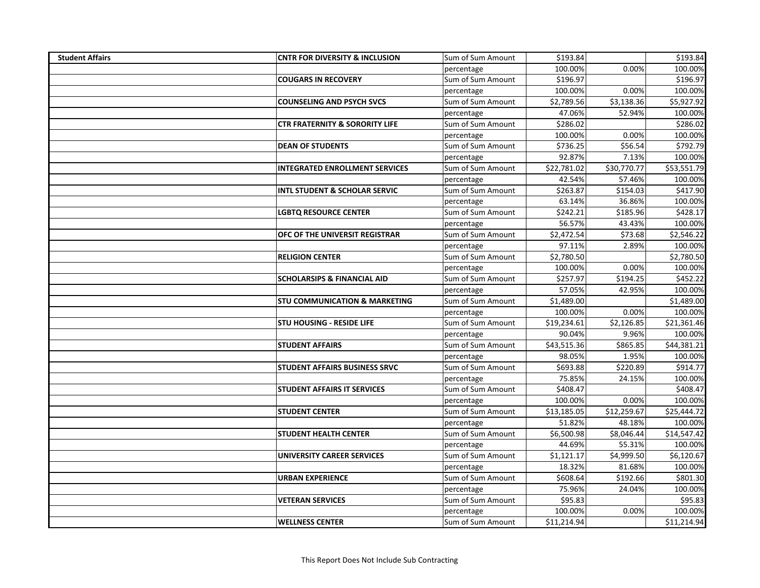| <b>Student Affairs</b> | <b>CNTR FOR DIVERSITY &amp; INCLUSION</b> | Sum of Sum Amount | \$193.84    |             | \$193.84    |
|------------------------|-------------------------------------------|-------------------|-------------|-------------|-------------|
|                        |                                           | percentage        | 100.00%     | 0.00%       | 100.00%     |
|                        | <b>COUGARS IN RECOVERY</b>                | Sum of Sum Amount | \$196.97    |             | \$196.97    |
|                        |                                           | percentage        | 100.00%     | 0.00%       | 100.00%     |
|                        | <b>COUNSELING AND PSYCH SVCS</b>          | Sum of Sum Amount | \$2,789.56  | \$3,138.36  | \$5,927.92  |
|                        |                                           | percentage        | 47.06%      | 52.94%      | 100.00%     |
|                        | <b>CTR FRATERNITY &amp; SORORITY LIFE</b> | Sum of Sum Amount | \$286.02    |             | \$286.02    |
|                        |                                           | percentage        | 100.00%     | 0.00%       | 100.00%     |
|                        | <b>DEAN OF STUDENTS</b>                   | Sum of Sum Amount | \$736.25    | \$56.54     | \$792.79    |
|                        |                                           | percentage        | 92.87%      | 7.13%       | 100.00%     |
|                        | <b>INTEGRATED ENROLLMENT SERVICES</b>     | Sum of Sum Amount | \$22,781.02 | \$30,770.77 | \$53,551.79 |
|                        |                                           | percentage        | 42.54%      | 57.46%      | 100.00%     |
|                        | <b>INTL STUDENT &amp; SCHOLAR SERVIC</b>  | Sum of Sum Amount | \$263.87    | \$154.03    | \$417.90    |
|                        |                                           | percentage        | 63.14%      | 36.86%      | 100.00%     |
|                        | <b>LGBTQ RESOURCE CENTER</b>              | Sum of Sum Amount | \$242.21    | \$185.96    | \$428.17    |
|                        |                                           | percentage        | 56.57%      | 43.43%      | 100.00%     |
|                        | OFC OF THE UNIVERSIT REGISTRAR            | Sum of Sum Amount | \$2,472.54  | \$73.68     | \$2,546.22  |
|                        |                                           | percentage        | 97.11%      | 2.89%       | 100.00%     |
|                        | <b>RELIGION CENTER</b>                    | Sum of Sum Amount | \$2,780.50  |             | \$2,780.50  |
|                        |                                           | percentage        | 100.00%     | 0.00%       | 100.00%     |
|                        | <b>SCHOLARSIPS &amp; FINANCIAL AID</b>    | Sum of Sum Amount | \$257.97    | \$194.25    | \$452.22    |
|                        |                                           | percentage        | 57.05%      | 42.95%      | 100.00%     |
|                        | <b>STU COMMUNICATION &amp; MARKETING</b>  | Sum of Sum Amount | \$1,489.00  |             | \$1,489.00  |
|                        |                                           | percentage        | 100.00%     | 0.00%       | 100.00%     |
|                        | <b>STU HOUSING - RESIDE LIFE</b>          | Sum of Sum Amount | \$19,234.61 | \$2,126.85  | \$21,361.46 |
|                        |                                           | percentage        | 90.04%      | 9.96%       | 100.00%     |
|                        | <b>STUDENT AFFAIRS</b>                    | Sum of Sum Amount | \$43,515.36 | \$865.85    | \$44,381.21 |
|                        |                                           | percentage        | 98.05%      | 1.95%       | 100.00%     |
|                        | <b>STUDENT AFFAIRS BUSINESS SRVC</b>      | Sum of Sum Amount | \$693.88    | \$220.89    | \$914.77    |
|                        |                                           | percentage        | 75.85%      | 24.15%      | 100.00%     |
|                        | <b>STUDENT AFFAIRS IT SERVICES</b>        | Sum of Sum Amount | \$408.47    |             | \$408.47    |
|                        |                                           | percentage        | 100.00%     | 0.00%       | 100.00%     |
|                        | <b>STUDENT CENTER</b>                     | Sum of Sum Amount | \$13,185.05 | \$12,259.67 | \$25,444.72 |
|                        |                                           | percentage        | 51.82%      | 48.18%      | 100.00%     |
|                        | <b>STUDENT HEALTH CENTER</b>              | Sum of Sum Amount | \$6,500.98  | \$8,046.44  | \$14,547.42 |
|                        |                                           | percentage        | 44.69%      | 55.31%      | 100.00%     |
|                        | UNIVERSITY CAREER SERVICES                | Sum of Sum Amount | \$1,121.17  | \$4,999.50  | \$6,120.67  |
|                        |                                           | percentage        | 18.32%      | 81.68%      | 100.00%     |
|                        | <b>URBAN EXPERIENCE</b>                   | Sum of Sum Amount | \$608.64    | \$192.66    | 5801.30     |
|                        |                                           | percentage        | 75.96%      | 24.04%      | 100.00%     |
|                        | <b>VETERAN SERVICES</b>                   | Sum of Sum Amount | \$95.83     |             | \$95.83     |
|                        |                                           | percentage        | 100.00%     | 0.00%       | 100.00%     |
|                        | <b>WELLNESS CENTER</b>                    | Sum of Sum Amount | \$11,214.94 |             | \$11,214.94 |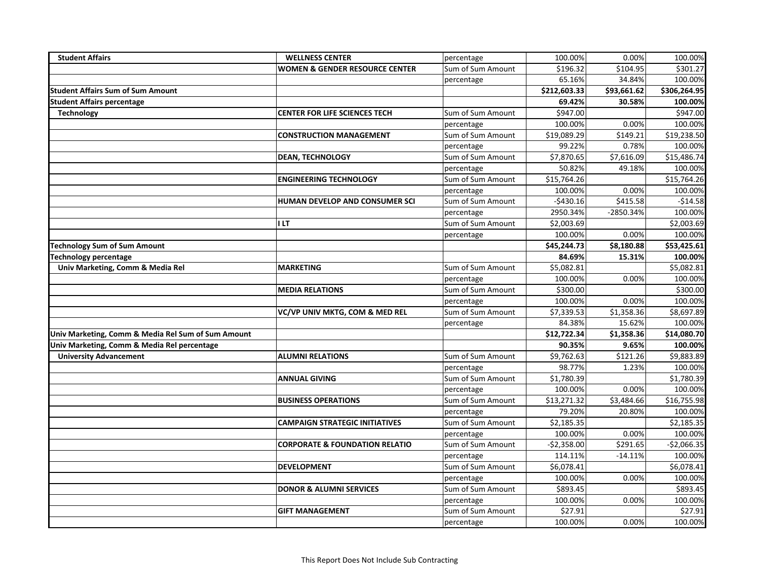| <b>Student Affairs</b>                             | <b>WELLNESS CENTER</b>                    | percentage        | 100.00%      | 0.00%       | 100.00%      |
|----------------------------------------------------|-------------------------------------------|-------------------|--------------|-------------|--------------|
|                                                    | <b>WOMEN &amp; GENDER RESOURCE CENTER</b> | Sum of Sum Amount | \$196.32     | \$104.95    | \$301.27     |
|                                                    |                                           | percentage        | 65.16%       | 34.84%      | 100.00%      |
| <b>Student Affairs Sum of Sum Amount</b>           |                                           |                   | \$212,603.33 | \$93,661.62 | \$306,264.95 |
| <b>Student Affairs percentage</b>                  |                                           |                   | 69.42%       | 30.58%      | 100.00%      |
| <b>Technology</b>                                  | <b>CENTER FOR LIFE SCIENCES TECH</b>      | Sum of Sum Amount | \$947.00     |             | \$947.00     |
|                                                    |                                           | percentage        | 100.00%      | 0.00%       | 100.00%      |
|                                                    | <b>CONSTRUCTION MANAGEMENT</b>            | Sum of Sum Amount | \$19,089.29  | \$149.21    | \$19,238.50  |
|                                                    |                                           | percentage        | 99.22%       | 0.78%       | 100.00%      |
|                                                    | <b>DEAN, TECHNOLOGY</b>                   | Sum of Sum Amount | \$7,870.65   | \$7,616.09  | \$15,486.74  |
|                                                    |                                           | percentage        | 50.82%       | 49.18%      | 100.00%      |
|                                                    | <b>ENGINEERING TECHNOLOGY</b>             | Sum of Sum Amount | \$15,764.26  |             | \$15,764.26  |
|                                                    |                                           | percentage        | 100.00%      | 0.00%       | 100.00%      |
|                                                    | HUMAN DEVELOP AND CONSUMER SCI            | Sum of Sum Amount | $-$430.16$   | 5415.58     | $-$14.58$    |
|                                                    |                                           | percentage        | 2950.34%     | -2850.34%   | 100.00%      |
|                                                    | <b>ILT</b>                                | Sum of Sum Amount | \$2,003.69   |             | \$2,003.69   |
|                                                    |                                           | percentage        | 100.00%      | 0.00%       | 100.00%      |
| <b>Technology Sum of Sum Amount</b>                |                                           |                   | \$45,244.73  | \$8,180.88  | \$53,425.61  |
| <b>Technology percentage</b>                       |                                           |                   | 84.69%       | 15.31%      | 100.00%      |
| Univ Marketing, Comm & Media Rel                   | <b>MARKETING</b>                          | Sum of Sum Amount | \$5,082.81   |             | \$5,082.81   |
|                                                    |                                           | percentage        | 100.00%      | 0.00%       | 100.00%      |
|                                                    | <b>MEDIA RELATIONS</b>                    | Sum of Sum Amount | \$300.00     |             | \$300.00     |
|                                                    |                                           | percentage        | 100.00%      | 0.00%       | 100.00%      |
|                                                    | VC/VP UNIV MKTG, COM & MED REL            | Sum of Sum Amount | \$7,339.53   | \$1,358.36  | \$8,697.89   |
|                                                    |                                           | percentage        | 84.38%       | 15.62%      | 100.00%      |
| Univ Marketing, Comm & Media Rel Sum of Sum Amount |                                           |                   | \$12,722.34  | \$1,358.36  | \$14,080.70  |
| Univ Marketing, Comm & Media Rel percentage        |                                           |                   | 90.35%       | 9.65%       | 100.00%      |
| <b>University Advancement</b>                      | <b>ALUMNI RELATIONS</b>                   | Sum of Sum Amount | \$9,762.63   | \$121.26    | \$9,883.89   |
|                                                    |                                           | percentage        | 98.77%       | 1.23%       | 100.00%      |
|                                                    | <b>ANNUAL GIVING</b>                      | Sum of Sum Amount | \$1,780.39   |             | \$1,780.39   |
|                                                    |                                           | percentage        | 100.00%      | 0.00%       | 100.00%      |
|                                                    | <b>BUSINESS OPERATIONS</b>                | Sum of Sum Amount | \$13,271.32  | \$3,484.66  | \$16,755.98  |
|                                                    |                                           | percentage        | 79.20%       | 20.80%      | 100.00%      |
|                                                    | <b>CAMPAIGN STRATEGIC INITIATIVES</b>     | Sum of Sum Amount | \$2,185.35   |             | \$2,185.35   |
|                                                    |                                           | percentage        | 100.00%      | 0.00%       | 100.00%      |
|                                                    | <b>CORPORATE &amp; FOUNDATION RELATIO</b> | Sum of Sum Amount | $-$2,358.00$ | \$291.65    | $-$2,066.35$ |
|                                                    |                                           | percentage        | 114.11%      | $-14.11%$   | 100.00%      |
|                                                    | <b>DEVELOPMENT</b>                        | Sum of Sum Amount | \$6,078.41   |             | \$6,078.41   |
|                                                    |                                           | percentage        | 100.00%      | 0.00%       | 100.00%      |
|                                                    | <b>DONOR &amp; ALUMNI SERVICES</b>        | Sum of Sum Amount | \$893.45     |             | \$893.45     |
|                                                    |                                           | percentage        | 100.00%      | 0.00%       | 100.00%      |
|                                                    | <b>GIFT MANAGEMENT</b>                    | Sum of Sum Amount | \$27.91      |             | \$27.91      |
|                                                    |                                           | percentage        | 100.00%      | 0.00%       | 100.00%      |